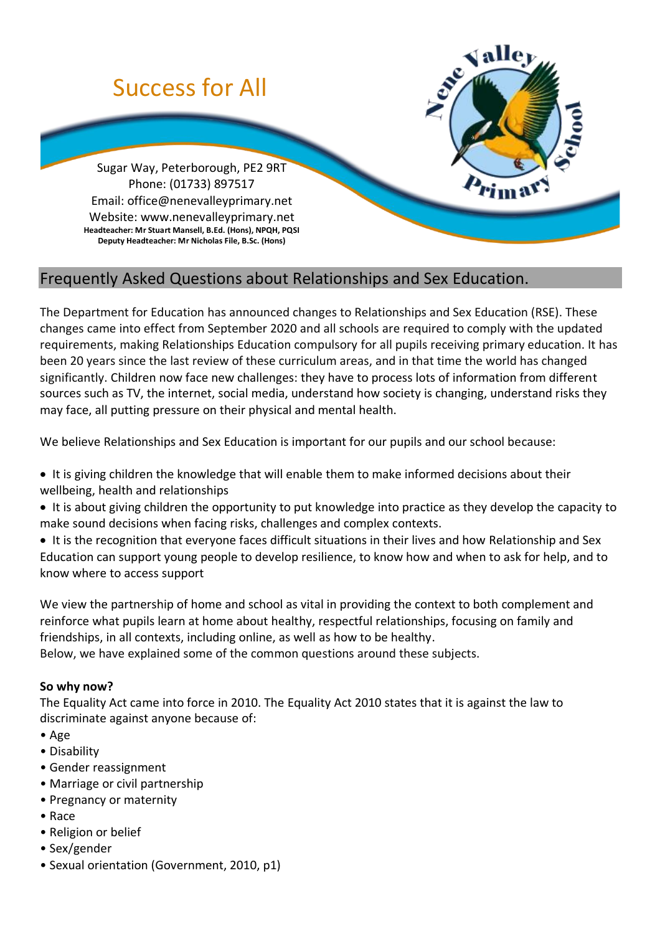

# Frequently Asked Questions about Relationships and Sex Education.

The Department for Education has announced changes to Relationships and Sex Education (RSE). These changes came into effect from September 2020 and all schools are required to comply with the updated requirements, making Relationships Education compulsory for all pupils receiving primary education. It has been 20 years since the last review of these curriculum areas, and in that time the world has changed significantly. Children now face new challenges: they have to process lots of information from different sources such as TV, the internet, social media, understand how society is changing, understand risks they may face, all putting pressure on their physical and mental health.

We believe Relationships and Sex Education is important for our pupils and our school because:

- It is giving children the knowledge that will enable them to make informed decisions about their wellbeing, health and relationships
- It is about giving children the opportunity to put knowledge into practice as they develop the capacity to make sound decisions when facing risks, challenges and complex contexts.

• It is the recognition that everyone faces difficult situations in their lives and how Relationship and Sex Education can support young people to develop resilience, to know how and when to ask for help, and to know where to access support

We view the partnership of home and school as vital in providing the context to both complement and reinforce what pupils learn at home about healthy, respectful relationships, focusing on family and friendships, in all contexts, including online, as well as how to be healthy.

Below, we have explained some of the common questions around these subjects.

## **So why now?**

The Equality Act came into force in 2010. The Equality Act 2010 states that it is against the law to discriminate against anyone because of:

- Age
- Disability
- Gender reassignment
- Marriage or civil partnership
- Pregnancy or maternity
- Race
- Religion or belief
- Sex/gender
- Sexual orientation (Government, 2010, p1)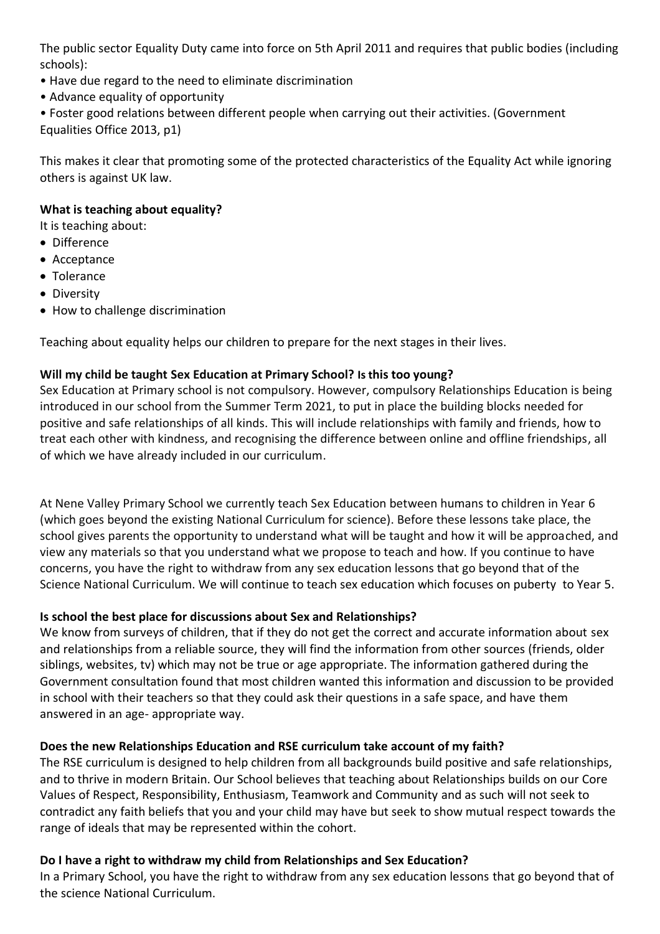The public sector Equality Duty came into force on 5th April 2011 and requires that public bodies (including schools):

- Have due regard to the need to eliminate discrimination
- Advance equality of opportunity
- Foster good relations between different people when carrying out their activities. (Government

Equalities Office 2013, p1)

This makes it clear that promoting some of the protected characteristics of the Equality Act while ignoring others is against UK law.

## **What is teaching about equality?**

It is teaching about:

- Difference
- Acceptance
- Tolerance
- Diversity
- How to challenge discrimination

Teaching about equality helps our children to prepare for the next stages in their lives.

# **Will my child be taught Sex Education at Primary School? Is this too young?**

Sex Education at Primary school is not compulsory. However, compulsory Relationships Education is being introduced in our school from the Summer Term 2021, to put in place the building blocks needed for positive and safe relationships of all kinds. This will include relationships with family and friends, how to treat each other with kindness, and recognising the difference between online and offline friendships, all of which we have already included in our curriculum.

At Nene Valley Primary School we currently teach Sex Education between humans to children in Year 6 (which goes beyond the existing National Curriculum for science). Before these lessons take place, the school gives parents the opportunity to understand what will be taught and how it will be approached, and view any materials so that you understand what we propose to teach and how. If you continue to have concerns, you have the right to withdraw from any sex education lessons that go beyond that of the Science National Curriculum. We will continue to teach sex education which focuses on puberty to Year 5.

# **Is school the best place for discussions about Sex and Relationships?**

We know from surveys of children, that if they do not get the correct and accurate information about sex and relationships from a reliable source, they will find the information from other sources (friends, older siblings, websites, tv) which may not be true or age appropriate. The information gathered during the Government consultation found that most children wanted this information and discussion to be provided in school with their teachers so that they could ask their questions in a safe space, and have them answered in an age- appropriate way.

# **Does the new Relationships Education and RSE curriculum take account of my faith?**

The RSE curriculum is designed to help children from all backgrounds build positive and safe relationships, and to thrive in modern Britain. Our School believes that teaching about Relationships builds on our Core Values of Respect, Responsibility, Enthusiasm, Teamwork and Community and as such will not seek to contradict any faith beliefs that you and your child may have but seek to show mutual respect towards the range of ideals that may be represented within the cohort.

# **Do I have a right to withdraw my child from Relationships and Sex Education?**

In a Primary School, you have the right to withdraw from any sex education lessons that go beyond that of the science National Curriculum.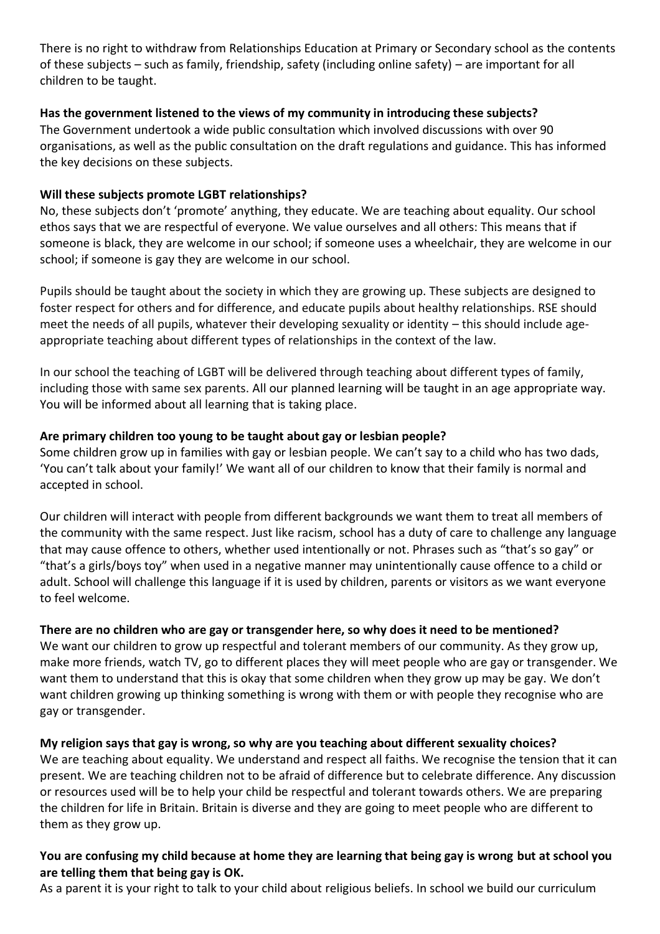There is no right to withdraw from Relationships Education at Primary or Secondary school as the contents of these subjects – such as family, friendship, safety (including online safety) – are important for all children to be taught.

## **Has the government listened to the views of my community in introducing these subjects?**

The Government undertook a wide public consultation which involved discussions with over 90 organisations, as well as the public consultation on the draft regulations and guidance. This has informed the key decisions on these subjects.

## **Will these subjects promote LGBT relationships?**

No, these subjects don't 'promote' anything, they educate. We are teaching about equality. Our school ethos says that we are respectful of everyone. We value ourselves and all others: This means that if someone is black, they are welcome in our school; if someone uses a wheelchair, they are welcome in our school; if someone is gay they are welcome in our school.

Pupils should be taught about the society in which they are growing up. These subjects are designed to foster respect for others and for difference, and educate pupils about healthy relationships. RSE should meet the needs of all pupils, whatever their developing sexuality or identity – this should include ageappropriate teaching about different types of relationships in the context of the law.

In our school the teaching of LGBT will be delivered through teaching about different types of family, including those with same sex parents. All our planned learning will be taught in an age appropriate way. You will be informed about all learning that is taking place.

## **Are primary children too young to be taught about gay or lesbian people?**

Some children grow up in families with gay or lesbian people. We can't say to a child who has two dads, 'You can't talk about your family!' We want all of our children to know that their family is normal and accepted in school.

Our children will interact with people from different backgrounds we want them to treat all members of the community with the same respect. Just like racism, school has a duty of care to challenge any language that may cause offence to others, whether used intentionally or not. Phrases such as "that's so gay" or "that's a girls/boys toy" when used in a negative manner may unintentionally cause offence to a child or adult. School will challenge this language if it is used by children, parents or visitors as we want everyone to feel welcome.

# **There are no children who are gay or transgender here, so why does it need to be mentioned?**

We want our children to grow up respectful and tolerant members of our community. As they grow up, make more friends, watch TV, go to different places they will meet people who are gay or transgender. We want them to understand that this is okay that some children when they grow up may be gay. We don't want children growing up thinking something is wrong with them or with people they recognise who are gay or transgender.

## **My religion says that gay is wrong, so why are you teaching about different sexuality choices?**

We are teaching about equality. We understand and respect all faiths. We recognise the tension that it can present. We are teaching children not to be afraid of difference but to celebrate difference. Any discussion or resources used will be to help your child be respectful and tolerant towards others. We are preparing the children for life in Britain. Britain is diverse and they are going to meet people who are different to them as they grow up.

## **You are confusing my child because at home they are learning that being gay is wrong but at school you are telling them that being gay is OK.**

As a parent it is your right to talk to your child about religious beliefs. In school we build our curriculum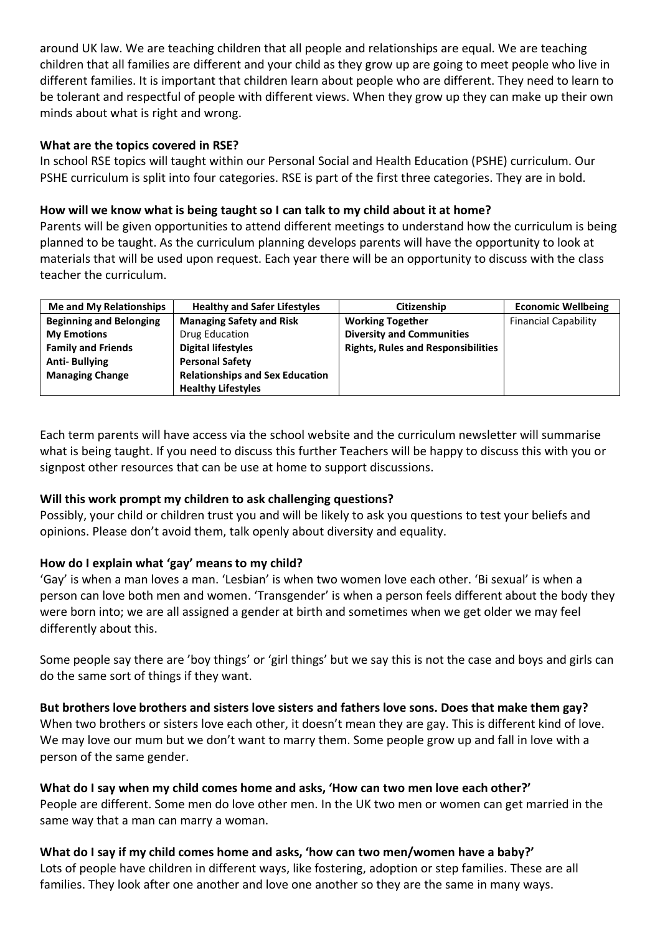around UK law. We are teaching children that all people and relationships are equal. We are teaching children that all families are different and your child as they grow up are going to meet people who live in different families. It is important that children learn about people who are different. They need to learn to be tolerant and respectful of people with different views. When they grow up they can make up their own minds about what is right and wrong.

## **What are the topics covered in RSE?**

In school RSE topics will taught within our Personal Social and Health Education (PSHE) curriculum. Our PSHE curriculum is split into four categories. RSE is part of the first three categories. They are in bold.

#### **How will we know what is being taught so I can talk to my child about it at home?**

Parents will be given opportunities to attend different meetings to understand how the curriculum is being planned to be taught. As the curriculum planning develops parents will have the opportunity to look at materials that will be used upon request. Each year there will be an opportunity to discuss with the class teacher the curriculum.

| Me and My Relationships        | <b>Healthy and Safer Lifestyles</b>    | Citizenship                               | <b>Economic Wellbeing</b>   |
|--------------------------------|----------------------------------------|-------------------------------------------|-----------------------------|
| <b>Beginning and Belonging</b> | <b>Managing Safety and Risk</b>        | <b>Working Together</b>                   | <b>Financial Capability</b> |
| <b>My Emotions</b>             | Drug Education                         | <b>Diversity and Communities</b>          |                             |
| <b>Family and Friends</b>      | <b>Digital lifestyles</b>              | <b>Rights, Rules and Responsibilities</b> |                             |
| <b>Anti-Bullying</b>           | <b>Personal Safety</b>                 |                                           |                             |
| <b>Managing Change</b>         | <b>Relationships and Sex Education</b> |                                           |                             |
|                                | <b>Healthy Lifestyles</b>              |                                           |                             |

Each term parents will have access via the school website and the curriculum newsletter will summarise what is being taught. If you need to discuss this further Teachers will be happy to discuss this with you or signpost other resources that can be use at home to support discussions.

## **Will this work prompt my children to ask challenging questions?**

Possibly, your child or children trust you and will be likely to ask you questions to test your beliefs and opinions. Please don't avoid them, talk openly about diversity and equality.

## **How do I explain what 'gay' means to my child?**

'Gay' is when a man loves a man. 'Lesbian' is when two women love each other. 'Bi sexual' is when a person can love both men and women. 'Transgender' is when a person feels different about the body they were born into; we are all assigned a gender at birth and sometimes when we get older we may feel differently about this.

Some people say there are 'boy things' or 'girl things' but we say this is not the case and boys and girls can do the same sort of things if they want.

**But brothers love brothers and sisters love sisters and fathers love sons. Does that make them gay?** When two brothers or sisters love each other, it doesn't mean they are gay. This is different kind of love. We may love our mum but we don't want to marry them. Some people grow up and fall in love with a person of the same gender.

#### **What do I say when my child comes home and asks, 'How can two men love each other?'**

People are different. Some men do love other men. In the UK two men or women can get married in the same way that a man can marry a woman.

**What do I say if my child comes home and asks, 'how can two men/women have a baby?'**  Lots of people have children in different ways, like fostering, adoption or step families. These are all families. They look after one another and love one another so they are the same in many ways.